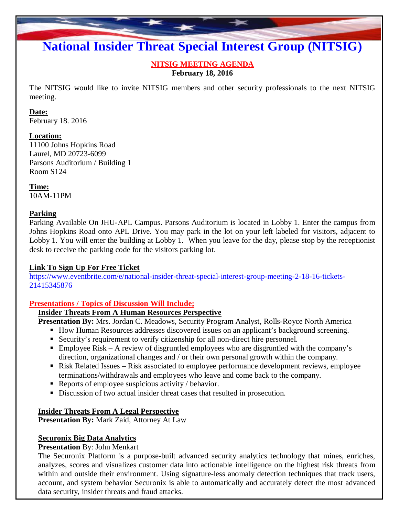# **National Insider Threat Special Interest Group (NITSIG)**

**NITSIG MEETING AGENDA February 18, 2016**

The NITSIG would like to invite NITSIG members and other security professionals to the next NITSIG meeting.

#### **Date:**

February 18. 2016

#### **Location:**

11100 Johns Hopkins Road Laurel, MD 20723-6099 Parsons Auditorium / Building 1 Room S124

**Time:** 10AM-11PM

#### **Parking**

Parking Available On JHU-APL Campus. Parsons Auditorium is located in Lobby 1. Enter the campus from Johns Hopkins Road onto APL Drive. You may park in the lot on your left labeled for visitors, adjacent to Lobby 1. You will enter the building at Lobby 1. When you leave for the day, please stop by the receptionist desk to receive the parking code for the visitors parking lot.

## **Link To Sign Up For Free Ticket**

[https://www.eventbrite.com/e/national-insider-threat-special-interest-group-meeting-2-18-16-tickets](https://www.eventbrite.com/e/national-insider-threat-special-interest-group-meeting-2-18-16-tickets-21415345876)-21415345876

## **Presentations / Topics of Discussion Will Include;**

## **Insider Threats From A Human Resources Perspective**

**Presentation By:** Mrs. Jordan C. Meadows, Security Program Analyst, Rolls-Royce North America

- How Human Resources addresses discovered issues on an applicant's background screening.
- Security's requirement to verify citizenship for all non-direct hire personnel.
- Employee Risk A review of disgruntled employees who are disgruntled with the company's direction, organizational changes and / or their own personal growth within the company.
- Risk Related Issues Risk associated to employee performance development reviews, employee terminations/withdrawals and employees who leave and come back to the company.
- Reports of employee suspicious activity / behavior.
- Discussion of two actual insider threat cases that resulted in prosecution.

## **Insider Threats From A Legal Perspective**

**Presentation By:** Mark Zaid, Attorney At Law

## **Securonix Big Data Analytics**

## **Presentation** By: John Menkart

The Securonix Platform is a purpose-built advanced security analytics technology that mines, enriches, analyzes, scores and visualizes customer data into actionable intelligence on the highest risk threats from within and outside their environment. Using signature-less anomaly detection techniques that track users, account, and system behavior Securonix is able to automatically and accurately detect the most advanced data security, insider threats and fraud attacks.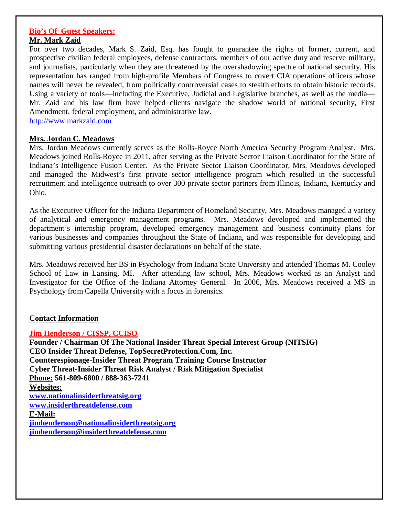#### **Bio's Of Guest Speakers: Mr. Mark Zaid**

For over two decades, Mark S. Zaid, Esq. has fought to guarantee the rights of former, current, and prospective civilian federal employees, defense contractors, members of our active duty and reserve military, and journalists, particularly when they are threatened by the overshadowing spectre of national security. His representation has ranged from high-profile Members of Congress to covert CIA operations officers whose names will never be revealed, from politically controversial cases to stealth efforts to obtain historic records. Using a variety of tools—including the Executive, Judicial and Legislative branches, as well as the media— Mr. Zaid and his law firm have helped clients navigate the shadow world of national security, First Amendment, federal employment, and administrative law.

http://www.markzaid.com

#### **Mrs. Jordan C. Meadows**

Mrs. Jordan Meadows currently serves as the Rolls-Royce North America Security Program Analyst. Mrs. Meadows joined Rolls-Royce in 2011, after serving as the Private Sector Liaison Coordinator for the State of Indiana's Intelligence Fusion Center. As the Private Sector Liaison Coordinator, Mrs. Meadows developed and managed the Midwest's first private sector intelligence program which resulted in the successful recruitment and intelligence outreach to over 300 private sector partners from Illinois, Indiana, Kentucky and Ohio.

As the Executive Officer for the Indiana Department of Homeland Security, Mrs. Meadows managed a variety of analytical and emergency management programs. Mrs. Meadows developed and implemented the department's internship program, developed emergency management and business continuity plans for various businesses and companies throughout the State of Indiana, and was responsible for developing and submitting various presidential disaster declarations on behalf of the state.

Mrs. Meadows received her BS in Psychology from Indiana State University and attended Thomas M. Cooley School of Law in Lansing, MI. After attending law school, Mrs. Meadows worked as an Analyst and Investigator for the Office of the Indiana Attorney General. In 2006, Mrs. Meadows received a MS in Psychology from Capella University with a focus in forensics.

#### **Contact Information**

#### **Jim Henderson / CISSP, CCISO**

**Founder / Chairman Of The National Insider Threat Special Interest Group (NITSIG) CEO Insider Threat Defense, TopSecretProtection.Com, Inc. Counterespionage-Insider Threat Program Training Course Instructor Cyber Threat-Insider Threat Risk Analyst / Risk Mitigation Specialist Phone: 561-809-6800 / 888-363-7241 Websites: www.nationalinsiderthreatsig.org [www.insiderthreatdefense.com](http://www.insiderthreatdefense.com/) E-Mail: jimhenderson@nationalinsiderthreatsig.org [jimhenderson@insiderthreatdefense.com](mailto:jimhenderson@insiderthreatdefense.com)**